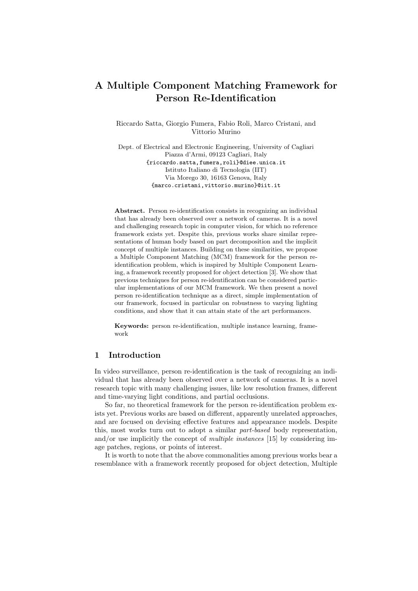# A Multiple Component Matching Framework for Person Re-Identification

Riccardo Satta, Giorgio Fumera, Fabio Roli, Marco Cristani, and Vittorio Murino

Dept. of Electrical and Electronic Engineering, University of Cagliari Piazza d'Armi, 09123 Cagliari, Italy {riccardo.satta,fumera,roli}@diee.unica.it Istituto Italiano di Tecnologia (IIT) Via Morego 30, 16163 Genova, Italy {marco.cristani,vittorio.murino}@iit.it

Abstract. Person re-identification consists in recognizing an individual that has already been observed over a network of cameras. It is a novel and challenging research topic in computer vision, for which no reference framework exists yet. Despite this, previous works share similar representations of human body based on part decomposition and the implicit concept of multiple instances. Building on these similarities, we propose a Multiple Component Matching (MCM) framework for the person reidentification problem, which is inspired by Multiple Component Learning, a framework recently proposed for object detection [3]. We show that previous techniques for person re-identification can be considered particular implementations of our MCM framework. We then present a novel person re-identification technique as a direct, simple implementation of our framework, focused in particular on robustness to varying lighting conditions, and show that it can attain state of the art performances.

Keywords: person re-identification, multiple instance learning, framework

# 1 Introduction

In video surveillance, person re-identification is the task of recognizing an individual that has already been observed over a network of cameras. It is a novel research topic with many challenging issues, like low resolution frames, different and time-varying light conditions, and partial occlusions.

So far, no theoretical framework for the person re-identification problem exists yet. Previous works are based on different, apparently unrelated approaches, and are focused on devising effective features and appearance models. Despite this, most works turn out to adopt a similar part-based body representation, and/or use implicitly the concept of *multiple instances* [15] by considering image patches, regions, or points of interest.

It is worth to note that the above commonalities among previous works bear a resemblance with a framework recently proposed for object detection, Multiple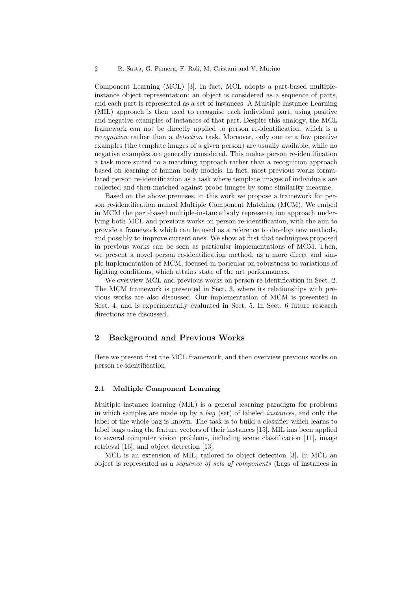Component Learning (MCL) [3]. In fact, MCL adopts a part-based multipleinstance object representation: an object is considered as a sequence of parts, and each part is represented as a set of instances. A Multiple Instance Learning (MIL) approach is then used to recognise each individual part, using positive and negative examples of instances of that part. Despite this analogy, the MCL framework can not be directly applied to person re-identification, which is a recognition rather than a detection task. Moreover, only one or a few positive examples (the template images of a given person) are usually available, while no negative examples are generally considered. This makes person re-identification a task more suited to a matching approach rather than a recognition approach based on learning of human body models. In fact, most previous works formulated person re-identification as a task where template images of individuals are collected and then matched against probe images by some similarity measure.

Based on the above premises, in this work we propose a framework for person re-identification named Multiple Component Matching (MCM). We embed in MCM the part-based multiple-instance body representation approach underlying both MCL and previous works on person re-identification, with the aim to provide a framework which can be used as a reference to develop new methods, and possibly to improve current ones. We show at first that techniques proposed in previous works can be seen as particular implementations of MCM. Then, we present a novel person re-identification method, as a more direct and simple implementation of MCM, focused in paricular on robustness to variations of lighting conditions, which attains state of the art performances.

We overview MCL and previous works on person re-identification in Sect. 2. The MCM framework is presented in Sect. 3, where its relationships with previous works are also discussed. Our implementation of MCM is presented in Sect. 4, and is experimentally evaluated in Sect. 5. In Sect. 6 future research directions are discussed.

# 2 Background and Previous Works

Here we present first the MCL framework, and then overview previous works on person re-identification.

#### 2.1 Multiple Component Learning

Multiple instance learning (MIL) is a general learning paradigm for problems in which samples are made up by a bag (set) of labeled instances, and only the label of the whole bag is known. The task is to build a classifier which learns to label bags using the feature vectors of their instances [15]. MIL has been applied to several computer vision problems, including scene classification [11], image retrieval [16], and object detection [13].

MCL is an extension of MIL, tailored to object detection [3]. In MCL an object is represented as a sequence of sets of components (bags of instances in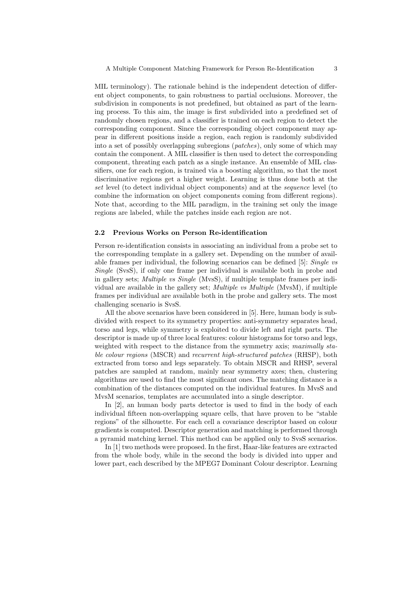MIL terminology). The rationale behind is the independent detection of different object components, to gain robustness to partial occlusions. Moreover, the subdivision in components is not predefined, but obtained as part of the learning process. To this aim, the image is first subdivided into a predefined set of randomly chosen regions, and a classifier is trained on each region to detect the corresponding component. Since the corresponding object component may appear in different positions inside a region, each region is randomly subdivided into a set of possibly overlapping subregions (patches), only some of which may contain the component. A MIL classifier is then used to detect the corresponding component, threating each patch as a single instance. An ensemble of MIL classifiers, one for each region, is trained via a boosting algorithm, so that the most discriminative regions get a higher weight. Learning is thus done both at the set level (to detect individual object components) and at the *sequence* level (to combine the information on object components coming from different regions). Note that, according to the MIL paradigm, in the training set only the image regions are labeled, while the patches inside each region are not.

#### 2.2 Previous Works on Person Re-identification

Person re-identification consists in associating an individual from a probe set to the corresponding template in a gallery set. Depending on the number of available frames per individual, the following scenarios can be defined [5]: Single vs Single (SvsS), if only one frame per individual is available both in probe and in gallery sets; Multiple vs Single (MvsS), if multiple template frames per individual are available in the gallery set; *Multiple vs Multiple* (MvsM), if multiple frames per individual are available both in the probe and gallery sets. The most challenging scenario is SvsS.

All the above scenarios have been considered in [5]. Here, human body is subdivided with respect to its symmetry properties: anti-symmetry separates head, torso and legs, while symmetry is exploited to divide left and right parts. The descriptor is made up of three local features: colour histograms for torso and legs, weighted with respect to the distance from the symmetry axis; maximally stable colour regions (MSCR) and recurrent high-structured patches (RHSP), both extracted from torso and legs separately. To obtain MSCR and RHSP, several patches are sampled at random, mainly near symmetry axes; then, clustering algorithms are used to find the most significant ones. The matching distance is a combination of the distances computed on the individual features. In MvsS and MvsM scenarios, templates are accumulated into a single descriptor.

In [2], an human body parts detector is used to find in the body of each individual fifteen non-overlapping square cells, that have proven to be "stable regions" of the silhouette. For each cell a covariance descriptor based on colour gradients is computed. Descriptor generation and matching is performed through a pyramid matching kernel. This method can be applied only to SvsS scenarios.

In [1] two methods were proposed. In the first, Haar-like features are extracted from the whole body, while in the second the body is divided into upper and lower part, each described by the MPEG7 Dominant Colour descriptor. Learning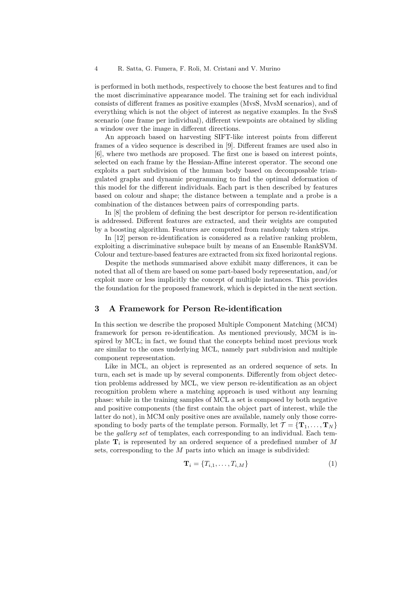is performed in both methods, respectively to choose the best features and to find the most discriminative appearance model. The training set for each individual consists of different frames as positive examples (MvsS, MvsM scenarios), and of everything which is not the object of interest as negative examples. In the SvsS scenario (one frame per individual), different viewpoints are obtained by sliding a window over the image in different directions.

An approach based on harvesting SIFT-like interest points from different frames of a video sequence is described in [9]. Different frames are used also in [6], where two methods are proposed. The first one is based on interest points, selected on each frame by the Hessian-Affine interest operator. The second one exploits a part subdivision of the human body based on decomposable triangulated graphs and dynamic programming to find the optimal deformation of this model for the different individuals. Each part is then described by features based on colour and shape; the distance between a template and a probe is a combination of the distances between pairs of corresponding parts.

In [8] the problem of defining the best descriptor for person re-identification is addressed. Different features are extracted, and their weights are computed by a boosting algorithm. Features are computed from randomly taken strips.

In [12] person re-identification is considered as a relative ranking problem, exploiting a discriminative subspace built by means of an Ensemble RankSVM. Colour and texture-based features are extracted from six fixed horizontal regions.

Despite the methods summarised above exhibit many differences, it can be noted that all of them are based on some part-based body representation, and/or exploit more or less implicitly the concept of multiple instances. This provides the foundation for the proposed framework, which is depicted in the next section.

# 3 A Framework for Person Re-identification

In this section we describe the proposed Multiple Component Matching (MCM) framework for person re-identification. As mentioned previously, MCM is inspired by MCL; in fact, we found that the concepts behind most previous work are similar to the ones underlying MCL, namely part subdivision and multiple component representation.

Like in MCL, an object is represented as an ordered sequence of sets. In turn, each set is made up by several components. Differently from object detection problems addressed by MCL, we view person re-identification as an object recognition problem where a matching approach is used without any learning phase: while in the training samples of MCL a set is composed by both negative and positive components (the first contain the object part of interest, while the latter do not), in MCM only positive ones are available, namely only those corresponding to body parts of the template person. Formally, let  $\mathcal{T} = {\{T_1, \ldots, T_N\}}$ be the gallery set of templates, each corresponding to an individual. Each template  $\mathbf{T}_i$  is represented by an ordered sequence of a predefined number of M sets, corresponding to the  $M$  parts into which an image is subdivided:

$$
\mathbf{T}_i = \{T_{i,1}, \dots, T_{i,M}\}\tag{1}
$$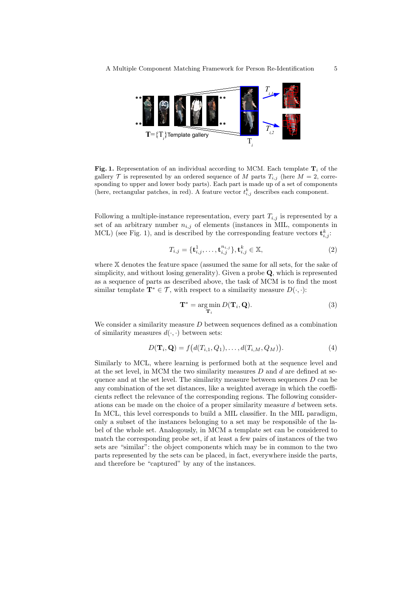

Fig. 1. Representation of an individual according to MCM. Each template  $T_i$  of the gallery T is represented by an ordered sequence of M parts  $T_{i,j}$  (here  $M = 2$ , corresponding to upper and lower body parts). Each part is made up of a set of components (here, rectangular patches, in red). A feature vector  $t_{i,j}^k$  describes each component.

Following a multiple-instance representation, every part  $T_{i,j}$  is represented by a set of an arbitrary number  $n_{i,j}$  of elements (instances in MIL, components in MCL) (see Fig. 1), and is described by the corresponding feature vectors  $\mathbf{t}_{i,j}^k$ :

$$
T_{i,j} = {\mathbf{t}_{i,j}^1, \dots, \mathbf{t}_{i,j}^{n_{i,j}}}, \mathbf{t}_{i,j}^k \in \mathbb{X},
$$
\n(2)

where  $X$  denotes the feature space (assumed the same for all sets, for the sake of simplicity, and without losing generality). Given a probe  $Q$ , which is represented as a sequence of parts as described above, the task of MCM is to find the most similar template  $\mathbf{T}^* \in \mathcal{T}$ , with respect to a similarity measure  $D(\cdot, \cdot)$ :

$$
\mathbf{T}^* = \underset{\mathbf{T}_i}{\text{arg min}} \, D(\mathbf{T}_i, \mathbf{Q}).\tag{3}
$$

We consider a similarity measure  $D$  between sequences defined as a combination of similarity measures  $d(\cdot, \cdot)$  between sets:

$$
D(\mathbf{T}_i, \mathbf{Q}) = f(d(T_{i,1}, Q_1), \dots, d(T_{i,M}, Q_M)).
$$
\n
$$
(4)
$$

Similarly to MCL, where learning is performed both at the sequence level and at the set level, in MCM the two similarity measures  $D$  and  $d$  are defined at sequence and at the set level. The similarity measure between sequences  $D$  can be any combination of the set distances, like a weighted average in which the coefficients reflect the relevance of the corresponding regions. The following considerations can be made on the choice of a proper similarity measure d between sets. In MCL, this level corresponds to build a MIL classifier. In the MIL paradigm, only a subset of the instances belonging to a set may be responsible of the label of the whole set. Analogously, in MCM a template set can be considered to match the corresponding probe set, if at least a few pairs of instances of the two sets are "similar": the object components which may be in common to the two parts represented by the sets can be placed, in fact, everywhere inside the parts, and therefore be "captured" by any of the instances.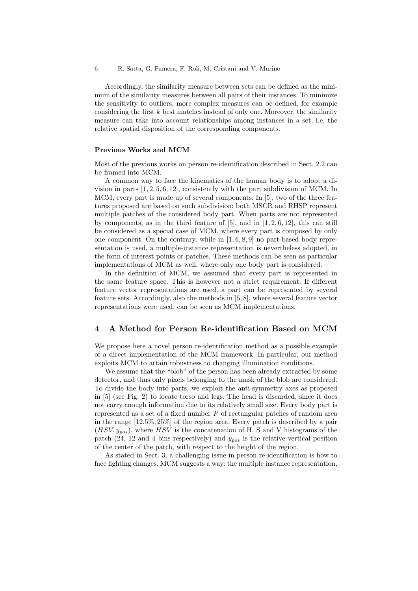Accordingly, the similarity measure between sets can be defined as the minimum of the similarity measures between all pairs of their instances. To minimize the sensitivity to outliers, more complex measures can be defined, for example considering the first  $k$  best matches instead of only one. Moreover, the similarity measure can take into account relationships among instances in a set, i.e. the relative spatial disposition of the corresponding components.

# Previous Works and MCM

Most of the previous works on person re-identification described in Sect. 2.2 can be framed into MCM.

A common way to face the kinematics of the human body is to adopt a division in parts  $[1, 2, 5, 6, 12]$ , consistently with the part subdivision of MCM. In MCM, every part is made up of several components. In [5], two of the three features proposed are based on such subdivision: both MSCR and RHSP represent multiple patches of the considered body part. When parts are not represented by components, as in the third feature of  $[5]$ , and in  $[1, 2, 6, 12]$ , this can still be considered as a special case of MCM, where every part is composed by only one component. On the contrary, while in  $[1, 6, 8, 9]$  no part-based body representation is used, a multiple-instance representation is nevertheless adopted, in the form of interest points or patches. These methods can be seen as particular implementations of MCM as well, where only one body part is considered.

In the definition of MCM, we assumed that every part is represented in the same feature space. This is however not a strict requirement. If different feature vector representations are used, a part can be represented by several feature sets. Accordingly, also the methods in [5, 8], where several feature vector representations were used, can be seen as MCM implementations.

# 4 A Method for Person Re-identification Based on MCM

We propose here a novel person re-identification method as a possible example of a direct implementation of the MCM framework. In particular, our method exploits MCM to attain robustness to changing illumination conditions.

We assume that the "blob" of the person has been already extracted by some detector, and thus only pixels belonging to the mask of the blob are considered. To divide the body into parts, we exploit the anti-symmetry axes as proposed in [5] (see Fig. 2) to locate torso and legs. The head is discarded, since it does not carry enough information due to its relatively small size. Every body part is represented as a set of a fixed number P of rectangular patches of random area in the range [12.5%, 25%] of the region area. Every patch is described by a pair  $(HSV, y_{pos})$ , where HSV is the concatenation of H, S and V histograms of the patch (24, 12 and 4 bins respectively) and  $y_{pos}$  is the relative vertical position of the center of the patch, with respect to the height of the region.

As stated in Sect. 3, a challenging issue in person re-identification is how to face lighting changes. MCM suggests a way: the multiple instance representation,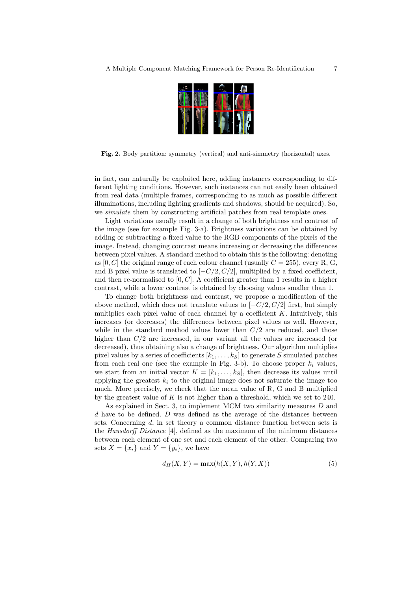Fig. 2. Body partition: symmetry (vertical) and anti-simmetry (horizontal) axes.

in fact, can naturally be exploited here, adding instances corresponding to different lighting conditions. However, such instances can not easily been obtained from real data (multiple frames, corresponding to as much as possible different illuminations, including lighting gradients and shadows, should be acquired). So, we *simulate* them by constructing artificial patches from real template ones.

Light variations usually result in a change of both brightness and contrast of the image (see for example Fig. 3-a). Brightness variations can be obtained by adding or subtracting a fixed value to the RGB components of the pixels of the image. Instead, changing contrast means increasing or decreasing the differences between pixel values. A standard method to obtain this is the following: denoting as  $[0, C]$  the original range of each colour channel (usually  $C = 255$ ), every R, G, and B pixel value is translated to  $[-C/2, C/2]$ , multiplied by a fixed coefficient, and then re-normalised to  $[0, C]$ . A coefficient greater than 1 results in a higher contrast, while a lower contrast is obtained by choosing values smaller than 1.

To change both brightness and contrast, we propose a modification of the above method, which does not translate values to  $[-C/2, C/2]$  first, but simply multiplies each pixel value of each channel by a coefficient  $K$ . Intuitively, this increases (or decreases) the differences between pixel values as well. However, while in the standard method values lower than  $C/2$  are reduced, and those higher than  $C/2$  are increased, in our variant all the values are increased (or decreased), thus obtaining also a change of brightness. Our algorithm multiplies pixel values by a series of coefficients  $[k_1, \ldots, k_S]$  to generate S simulated patches from each real one (see the example in Fig. 3-b). To choose proper  $k_i$  values, we start from an initial vector  $K = [k_1, \ldots, k_S]$ , then decrease its values until applying the greatest  $k_i$  to the original image does not saturate the image too much. More precisely, we check that the mean value of R, G and B multiplied by the greatest value of K is not higher than a threshold, which we set to 240.

As explained in Sect. 3, to implement MCM two similarity measures D and d have to be defined. D was defined as the average of the distances between sets. Concerning d, in set theory a common distance function between sets is the Hausdorff Distance [4], defined as the maximum of the minimum distances between each element of one set and each element of the other. Comparing two sets  $X = \{x_i\}$  and  $Y = \{y_i\}$ , we have

$$
d_H(X, Y) = \max(h(X, Y), h(Y, X))
$$
\n<sup>(5)</sup>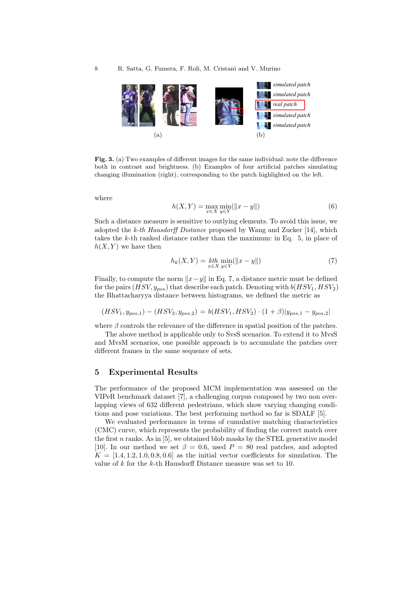

Fig. 3. (a) Two examples of different images for the same individual: note the difference both in contrast and brightness. (b) Examples of four artificial patches simulating changing illumination (right), corresponding to the patch highlighted on the left.

where

$$
h(X, Y) = \max_{x \in X} \min_{y \in Y} (||x - y||)
$$
 (6)

Such a distance measure is sensitive to outlying elements. To avoid this issue, we adopted the k-th Hausdorff Distance proposed by Wang and Zucker [14], which takes the  $k$ -th ranked distance rather than the maximum: in Eq.  $5$ , in place of  $h(X, Y)$  we have then

$$
h_k(X, Y) = kth \min_{x \in X} (\|x - y\|)
$$
 (7)

Finally, to compute the norm  $||x-y||$  in Eq. 7, a distance metric must be defined for the pairs  $(HSV, y_{pos})$  that describe each patch. Denoting with  $b(HSV_1, HSV_2)$ the Bhattacharyya distance between histograms, we defined the metric as

$$
(HSV_1, y_{pos,1}) - (HSV_2, y_{pos,2}) = b(HSV_1, HSV_2) \cdot (1 + \beta)|y_{pos,1} - y_{pos,2}|
$$

where  $\beta$  controls the relevance of the difference in spatial position of the patches.

The above method is applicable only to SvsS scenarios. To extend it to MvsS and MvsM scenarios, one possible approach is to accumulate the patches over different frames in the same sequence of sets.

## 5 Experimental Results

The performance of the proposed MCM implementation was assessed on the VIPeR benchmark dataset [7], a challenging corpus composed by two non overlapping views of 632 different pedestrians, which show varying changing conditions and pose variations. The best performing method so far is SDALF [5].

We evaluated performance in terms of cumulative matching characteristics (CMC) curve, which represents the probability of finding the correct match over the first n ranks. As in [5], we obtained blob masks by the STEL generative model [10]. In our method we set  $\beta = 0.6$ , used  $P = 80$  real patches, and adopted  $K = [1.4, 1.2, 1.0, 0.8, 0.6]$  as the initial vector coefficients for simulation. The value of k for the k-th Hausdorff Distance measure was set to 10.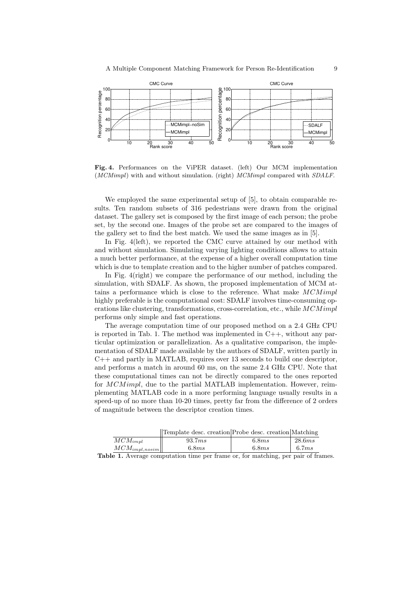

Fig. 4. Performances on the ViPER dataset. (left) Our MCM implementation  $(MCMimpl)$  with and without simulation. (right) MCMimpl compared with SDALF.

We employed the same experimental setup of [5], to obtain comparable results. Ten random subsets of 316 pedestrians were drawn from the original dataset. The gallery set is composed by the first image of each person; the probe set, by the second one. Images of the probe set are compared to the images of the gallery set to find the best match. We used the same images as in [5].

In Fig. 4(left), we reported the CMC curve attained by our method with and without simulation. Simulating varying lighting conditions allows to attain a much better performance, at the expense of a higher overall computation time which is due to template creation and to the higher number of patches compared.

In Fig. 4(right) we compare the performance of our method, including the simulation, with SDALF. As shown, the proposed implementation of MCM attains a performance which is close to the reference. What make  $MCMimpl$ highly preferable is the computational cost: SDALF involves time-consuming operations like clustering, transformations, cross-correlation, etc., while MCM impl performs only simple and fast operations.

The average computation time of our proposed method on a 2.4 GHz CPU is reported in Tab. 1. The method was implemented in  $C_{++}$ , without any particular optimization or parallelization. As a qualitative comparison, the implementation of SDALF made available by the authors of SDALF, written partly in C++ and partly in MATLAB, requires over 13 seconds to build one descriptor, and performs a match in around 60 ms, on the same 2.4 GHz CPU. Note that these computational times can not be directly compared to the ones reported for *MCM impl*, due to the partial MATLAB implementation. However, reimplementing MATLAB code in a more performing language usually results in a speed-up of no more than 10-20 times, pretty far from the difference of 2 orders of magnitude between the descriptor creation times.

|                    | Template desc. creation Probe desc. creation Matching |       |        |
|--------------------|-------------------------------------------------------|-------|--------|
| $MCM_{impl}$       | 93.7ms                                                | 6.8ms | 28.6ms |
| $MCM_{impl,nosim}$ | 6.8ms                                                 | 6.8ms | 6.7ms  |

Table 1. Average computation time per frame or, for matching, per pair of frames.